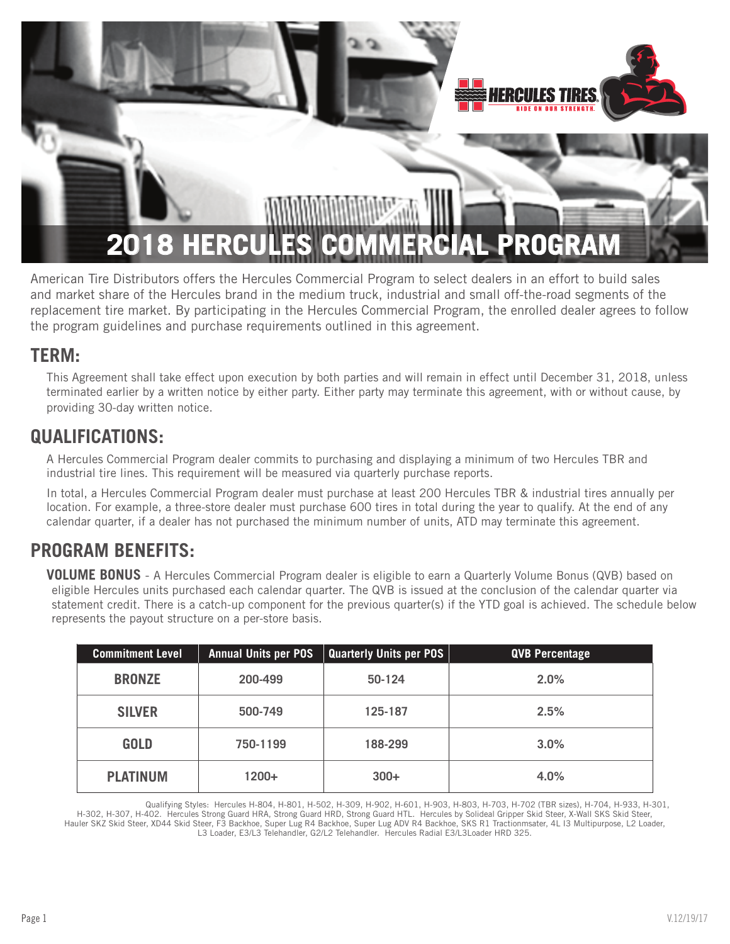

American Tire Distributors offers the Hercules Commercial Program to select dealers in an effort to build sales and market share of the Hercules brand in the medium truck, industrial and small off-the-road segments of the replacement tire market. By participating in the Hercules Commercial Program, the enrolled dealer agrees to follow the program guidelines and purchase requirements outlined in this agreement.

### **TERM:**

This Agreement shall take effect upon execution by both parties and will remain in effect until December 31, 2018, unless terminated earlier by a written notice by either party. Either party may terminate this agreement, with or without cause, by providing 30-day written notice.

### **QUALIFICATIONS:**

A Hercules Commercial Program dealer commits to purchasing and displaying a minimum of two Hercules TBR and industrial tire lines. This requirement will be measured via quarterly purchase reports.

In total, a Hercules Commercial Program dealer must purchase at least 200 Hercules TBR & industrial tires annually per location. For example, a three-store dealer must purchase 600 tires in total during the year to qualify. At the end of any calendar quarter, if a dealer has not purchased the minimum number of units, ATD may terminate this agreement.

### **PROGRAM BENEFITS:**

**VOLUME BONUS** - A Hercules Commercial Program dealer is eligible to earn a Quarterly Volume Bonus (QVB) based on eligible Hercules units purchased each calendar quarter. The QVB is issued at the conclusion of the calendar quarter via statement credit. There is a catch-up component for the previous quarter(s) if the YTD goal is achieved. The schedule below represents the payout structure on a per-store basis.

| <b>Commitment Level</b> | <b>Annual Units per POS</b> | <b>Quarterly Units per POS</b> | <b>QVB Percentage</b> |
|-------------------------|-----------------------------|--------------------------------|-----------------------|
| <b>BRONZE</b>           | 200-499                     | 50-124                         | 2.0%                  |
| <b>SILVER</b>           | 500-749                     | 125-187                        | 2.5%                  |
| <b>GOLD</b>             | 750-1199                    | 188-299                        | 3.0%                  |
| <b>PLATINUM</b>         | $1200+$                     | $300+$                         | 4.0%                  |

Qualifying Styles: Hercules H-804, H-801, H-502, H-309, H-902, H-601, H-903, H-803, H-703, H-702 (TBR sizes), H-704, H-933, H-301,

H-302, H-307, H-402. Hercules Strong Guard HRA, Strong Guard HRD, Strong Guard HTL. Hercules by Solideal Gripper Skid Steer, X-Wall SKS Skid Steer, Hauler SKZ Skid Steer, XD44 Skid Steer, F3 Backhoe, Super Lug R4 Backhoe, Super Lug ADV R4 Backhoe, SKS R1 Tractionmsater, 4L I3 Multipurpose, L2 Loader, L3 Loader, E3/L3 Telehandler, G2/L2 Telehandler. Hercules Radial E3/L3Loader HRD 325.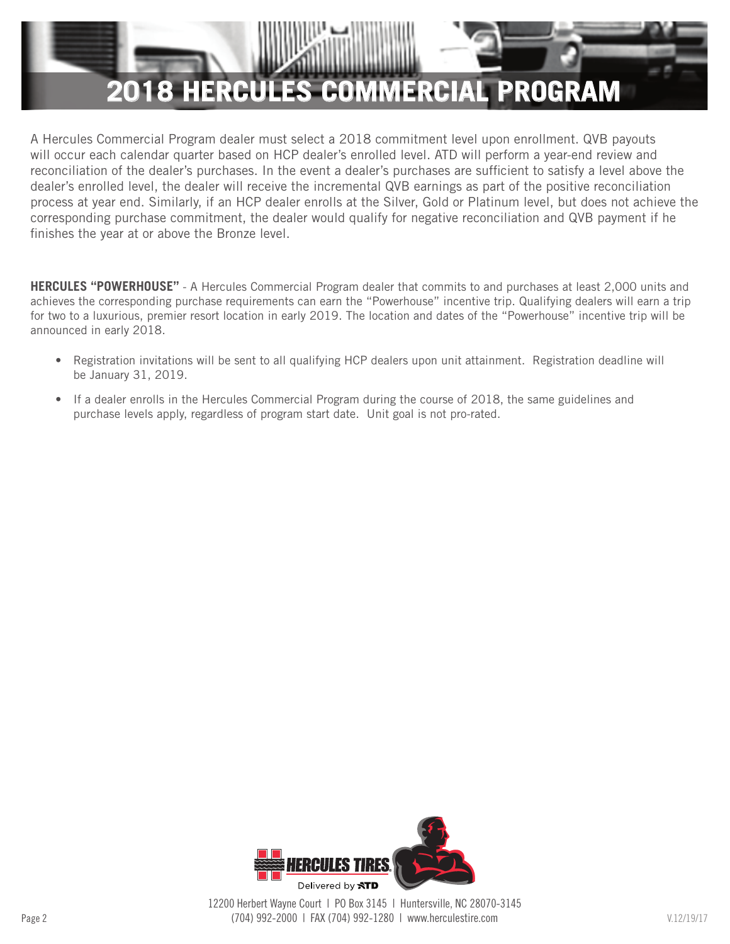

A Hercules Commercial Program dealer must select a 2018 commitment level upon enrollment. QVB payouts will occur each calendar quarter based on HCP dealer's enrolled level. ATD will perform a year-end review and reconciliation of the dealer's purchases. In the event a dealer's purchases are sufficient to satisfy a level above the dealer's enrolled level, the dealer will receive the incremental QVB earnings as part of the positive reconciliation process at year end. Similarly, if an HCP dealer enrolls at the Silver, Gold or Platinum level, but does not achieve the corresponding purchase commitment, the dealer would qualify for negative reconciliation and QVB payment if he finishes the year at or above the Bronze level.

**HERCULES "POWERHOUSE"** - A Hercules Commercial Program dealer that commits to and purchases at least 2,000 units and achieves the corresponding purchase requirements can earn the "Powerhouse" incentive trip. Qualifying dealers will earn a trip for two to a luxurious, premier resort location in early 2019. The location and dates of the "Powerhouse" incentive trip will be announced in early 2018.

- Registration invitations will be sent to all qualifying HCP dealers upon unit attainment. Registration deadline will be January 31, 2019.
- If a dealer enrolls in the Hercules Commercial Program during the course of 2018, the same guidelines and purchase levels apply, regardless of program start date. Unit goal is not pro-rated.

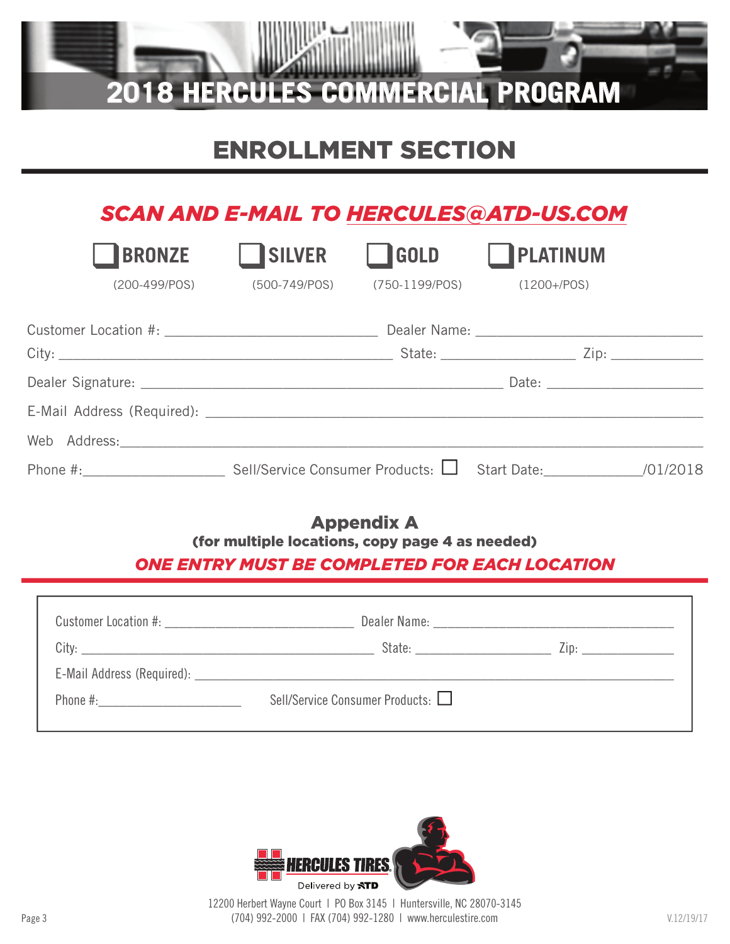

# ENROLLMENT SECTION

## *SCAN AND E-MAIL TO HERCULES@ATD-US.COM*

| <b>BRONZE</b> | <b>SILVER</b>               | <b>IGOLD</b> | PLATINUM                                                                         |  |
|---------------|-----------------------------|--------------|----------------------------------------------------------------------------------|--|
|               | (200-499/POS) (500-749/POS) |              | (750-1199/POS) (1200+/POS)                                                       |  |
|               |                             |              |                                                                                  |  |
|               |                             |              | State: __________________________________ Zip: _________________________________ |  |
|               |                             |              |                                                                                  |  |
|               |                             |              |                                                                                  |  |
|               |                             |              |                                                                                  |  |
|               |                             |              |                                                                                  |  |

### Appendix A (for multiple locations, copy page 4 as needed)

#### *ONE ENTRY MUST BE COMPLETED FOR EACH LOCATION*

| State: ________________________   | $\mathsf{Zip:}$ |
|-----------------------------------|-----------------|
|                                   |                 |
| Sell/Service Consumer Products: □ |                 |



Page 3 V.12/19/17 (704) 992-2000 | FAX (704) 992-1280 | www.herculestire.com 12200 Herbert Wayne Court | PO Box 3145 | Huntersville, NC 28070-3145